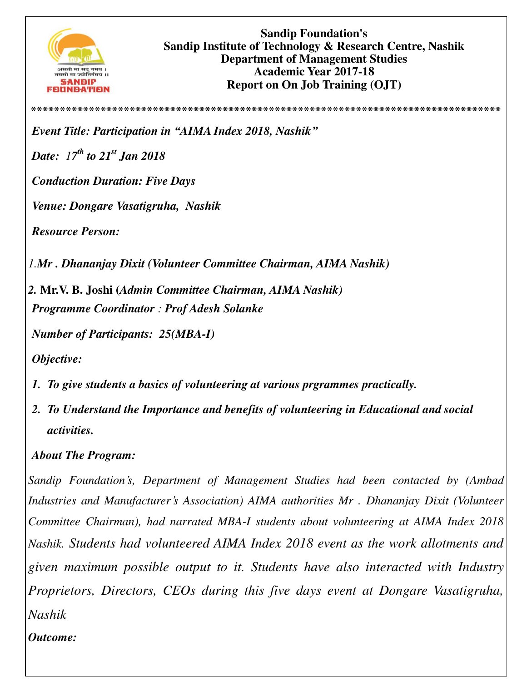

**Sandip Foundation's Sandip Institute of Technology & Research Centre, Nashik Department of Management Studies Academic Year 2017-18 Report on On Job Training (OJT)** 

**\*\*\*\*\*\*\*\*\*\*\*\*\*\*\*\*\*\*\*\*\*\*\*\*\*\*\*\*\*\*\*\*\*\*\*\*\*\*\*\*\*\*\*\*\*\*\*\*\*\*\*\*\*\*\*\*\*\*\*\*\*\*\*\*\*\*\*\*\*\*\*\*\*\*\*\*\*\*\*\*\***

*Event Title: Participation in "AIMA Index 2018, Nashik"*

*Date: 17 th to 21st Jan 2018* 

*Conduction Duration: Five Days* 

*Venue: Dongare Vasatigruha, Nashik* 

*Resource Person:* 

*1.Mr . Dhananjay Dixit (Volunteer Committee Chairman, AIMA Nashik)* 

*2.* **Mr.V. B. Joshi (***Admin Committee Chairman, AIMA Nashik) Programme Coordinator : Prof Adesh Solanke* 

*Number of Participants: 25(MBA-I)*

*Objective:* 

- *1. To give students a basics of volunteering at various prgrammes practically.*
- *2. To Understand the Importance and benefits of volunteering in Educational and social activities.*

## *About The Program:*

*Sandip Foundation's, Department of Management Studies had been contacted by (Ambad Industries and Manufacturer's Association) AIMA authorities Mr . Dhananjay Dixit (Volunteer Committee Chairman), had narrated MBA-I students about volunteering at AIMA Index 2018 Nashik. Students had volunteered AIMA Index 2018 event as the work allotments and given maximum possible output to it. Students have also interacted with Industry Proprietors, Directors, CEOs during this five days event at Dongare Vasatigruha, Nashik* 

## *Outcome:*